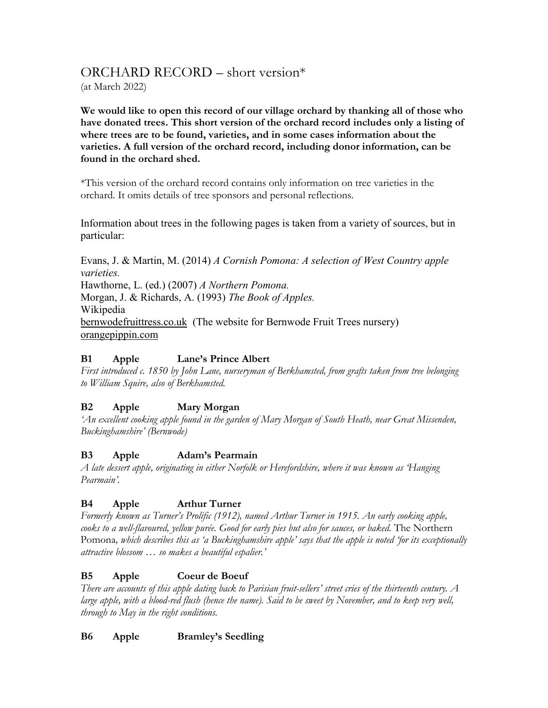# ORCHARD RECORD – short version\*

(at March 2022)

**We would like to open this record of our village orchard by thanking all of those who have donated trees. This short version of the orchard record includes only a listing of where trees are to be found, varieties, and in some cases information about the varieties. A full version of the orchard record, including donor information, can be found in the orchard shed.**

\*This version of the orchard record contains only information on tree varieties in the orchard. It omits details of tree sponsors and personal reflections.

Information about trees in the following pages is taken from a variety of sources, but in particular:

Evans, J. & Martin, M. (2014) *A Cornish Pomona: A selection of West Country apple varieties.* Hawthorne, L. (ed.) (2007) *A Northern Pomona.* Morgan, J. & Richards, A. (1993) *The Book of Apples.* Wikipedia bernwodefruittress.co.uk (The website for Bernwode Fruit Trees nursery) orangepippin.com

## **B1 Apple Lane's Prince Albert**

*First introduced c. 1850 by John Lane, nurseryman of Berkhamsted, from grafts taken from tree belonging to William Squire, also of Berkhamsted.*

## **B2 Apple Mary Morgan**

*'An excellent cooking apple found in the garden of Mary Morgan of South Heath, near Great Missenden, Buckinghamshire' (Bernwode)*

## **B3 Apple Adam's Pearmain**

*A late dessert apple, originating in either Norfolk or Herefordshire, where it was known as 'Hanging Pearmain'.* 

## **B4 Apple Arthur Turner**

*Formerly known as Turner's Prolific (1912), named Arthur Turner in 1915. An early cooking apple, cooks to a well-flavoured, yellow purée. Good for early pies but also for sauces, or baked.* The Northern Pomona*, which describes this as 'a Buckinghamshire apple' says that the apple is noted 'for its exceptionally attractive blossom … so makes a beautiful espalier.'*

## **B5 Apple Coeur de Boeuf**

*There are accounts of this apple dating back to Parisian fruit-sellers' street cries of the thirteenth century. A large apple, with a blood-red flush (hence the name). Said to be sweet by November, and to keep very well, through to May in the right conditions.*

## **B6 Apple Bramley's Seedling**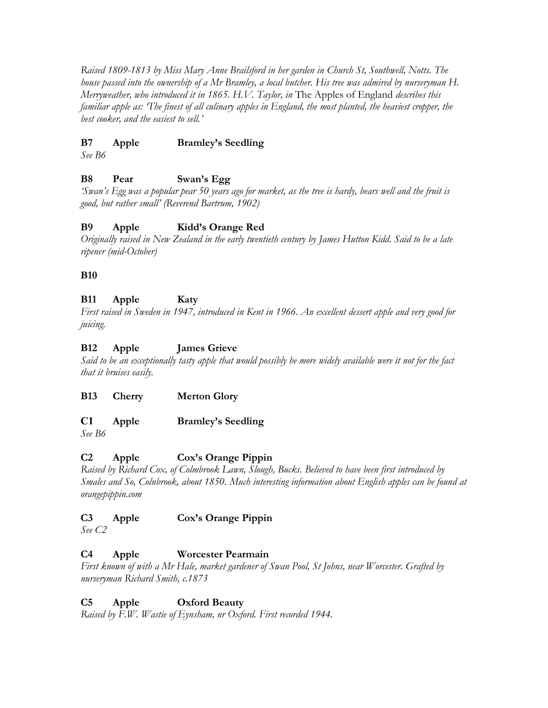*Raised 1809-1813 by Miss Mary Anne Brailsford in her garden in Church St, Southwell, Notts. The house passed into the ownership of a Mr Bramley, a local butcher. His tree was admired by nurseryman H. Merryweather, who introduced it in 1865. H.V. Taylor, in* The Apples of England *describes this familiar apple as: 'The finest of all culinary apples in England, the most planted, the heaviest cropper, the best cooker, and the easiest to sell.'*

#### **B7 Apple Bramley's Seedling**

*See B6*

#### **B8 Pear Swan's Egg**

*'Swan's Egg was a popular pear 50 years ago for market, as the tree is hardy, bears well and the fruit is good, but rather small' (Reverend Bartrum, 1902)*

#### **B9 Apple Kidd's Orange Red**

*Originally raised in New Zealand in the early twentieth century by James Hutton Kidd. Said to be a late ripener (mid-October)*

#### **B10**

## **B11 Apple Katy**

*First raised in Sweden in 1947, introduced in Kent in 1966. An excellent dessert apple and very good for juicing.*

#### **B12 Apple James Grieve**

*Said to be an exceptionally tasty apple that would possibly be more widely available were it not for the fact that it bruises easily.*

**B13 Cherry Merton Glory**

## **C1 Apple Bramley's Seedling**

*See B6*

## **C2 Apple Cox's Orange Pippin**

*Raised by Richard Cox, of Colmbrook Lawn, Slough, Bucks. Believed to have been first introduced by Smales and So, Colnbrook, about 1850. Much interesting information about English apples can be found at orangepippin.com*

## **C3 Apple Cox's Orange Pippin**

*See C2*

## **C4 Apple Worcester Pearmain**

*First known of with a Mr Hale, market gardener of Swan Pool, St Johns, near Worcester. Grafted by nurseryman Richard Smith, c.1873* 

## **C5 Apple Oxford Beauty**

*Raised by F.W. Wastie of Eynsham, nr Oxford. First recorded 1944.*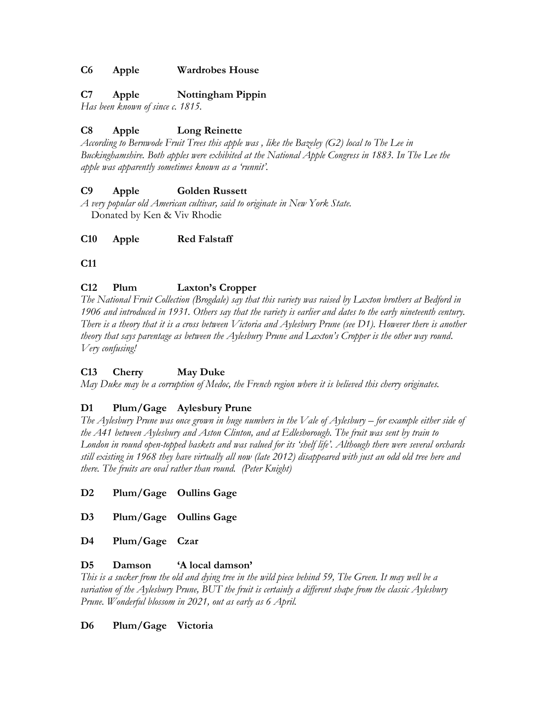#### **C6 Apple Wardrobes House**

#### **C7 Apple Nottingham Pippin**

*Has been known of since c. 1815.*

## **C8 Apple Long Reinette**

*According to Bernwode Fruit Trees this apple was , like the Bazeley (G2) local to The Lee in Buckinghamshire. Both apples were exhibited at the National Apple Congress in 1883. In The Lee the apple was apparently sometimes known as a 'runnit'.*

#### **C9 Apple Golden Russett**

*A very popular old American cultivar, said to originate in New York State.* Donated by Ken & Viv Rhodie

**C10 Apple Red Falstaff**

**C11**

## **C12 Plum Laxton's Cropper**

*The National Fruit Collection (Brogdale) say that this variety was raised by Laxton brothers at Bedford in 1906 and introduced in 1931. Others say that the variety is earlier and dates to the early nineteenth century. There is a theory that it is a cross between Victoria and Aylesbury Prune (see D1). However there is another theory that says parentage as between the Aylesbury Prune and Laxton's Cropper is the other way round. Very confusing!*

## **C13 Cherry May Duke**

*May Duke may be a corruption of Medoc, the French region where it is believed this cherry originates.* 

## **D1 Plum/Gage Aylesbury Prune**

*The Aylesbury Prune was once grown in huge numbers in the Vale of Aylesbury – for example either side of the A41 between Aylesbury and Aston Clinton, and at Edlesborough. The fruit was sent by train to London in round open-topped baskets and was valued for its 'shelf life'. Although there were several orchards still existing in 1968 they have virtually all now (late 2012) disappeared with just an odd old tree here and there. The fruits are oval rather than round. (Peter Knight)* 

**D2 Plum/Gage Oullins Gage**

**D3 Plum/Gage Oullins Gage**

**D4 Plum/Gage Czar**

#### **D5 Damson 'A local damson'**

*This is a sucker from the old and dying tree in the wild piece behind 59, The Green. It may well be a variation of the Aylesbury Prune, BUT the fruit is certainly a different shape from the classic Aylesbury Prune. Wonderful blossom in 2021, out as early as 6 April.*

#### **D6 Plum/Gage Victoria**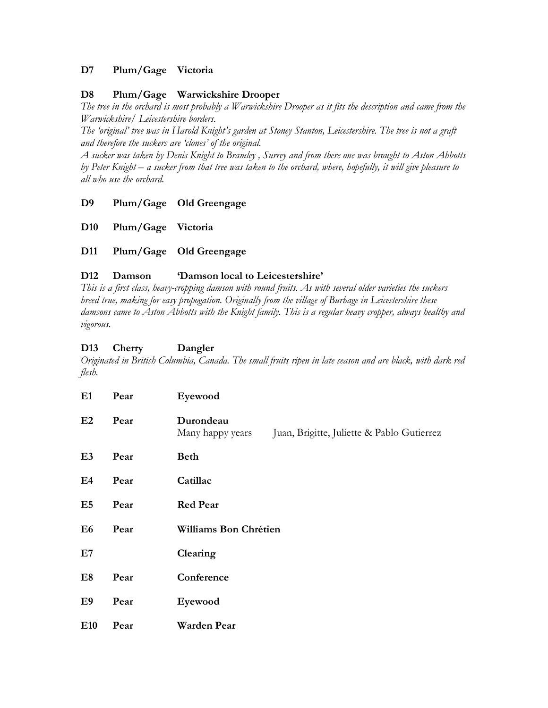#### **D7 Plum/Gage Victoria**

#### **D8 Plum/Gage Warwickshire Drooper**

*The tree in the orchard is most probably a Warwickshire Drooper as it fits the description and came from the Warwickshire/ Leicestershire borders.*

*The 'original' tree was in Harold Knight's garden at Stoney Stanton, Leicestershire. The tree is not a graft and therefore the suckers are 'clones' of the original.*

*A sucker was taken by Denis Knight to Bramley , Surrey and from there one was brought to Aston Abbotts by Peter Knight – a sucker from that tree was taken to the orchard, where, hopefully, it will give pleasure to all who use the orchard.*

- **D9 Plum/Gage Old Greengage**
- **D10 Plum/Gage Victoria**
- **D11 Plum/Gage Old Greengage**

#### **D12 Damson 'Damson local to Leicestershire'**

*This is a first class, heavy-cropping damson with round fruits. As with several older varieties the suckers breed true, making for easy propogation. Originally from the village of Burbage in Leicestershire these damsons came to Aston Abbotts with the Knight family. This is a regular heavy cropper, always healthy and vigorous.*

#### **D13 Cherry Dangler**

*Originated in British Columbia, Canada. The small fruits ripen in late season and are black, with dark red flesh.*

| E1             | Pear | Eyewood                                                                     |
|----------------|------|-----------------------------------------------------------------------------|
| E2             | Pear | Durondeau<br>Juan, Brigitte, Juliette & Pablo Gutierrez<br>Many happy years |
| E <sub>3</sub> | Pear | <b>Beth</b>                                                                 |
| E4             | Pear | Catillac                                                                    |
| E5             | Pear | <b>Red Pear</b>                                                             |
| E <sub>6</sub> | Pear | Williams Bon Chrétien                                                       |
| E7             |      | Clearing                                                                    |
| E8             | Pear | Conference                                                                  |
| E9             | Pear | Eyewood                                                                     |
| E10            | Pear | Warden Pear                                                                 |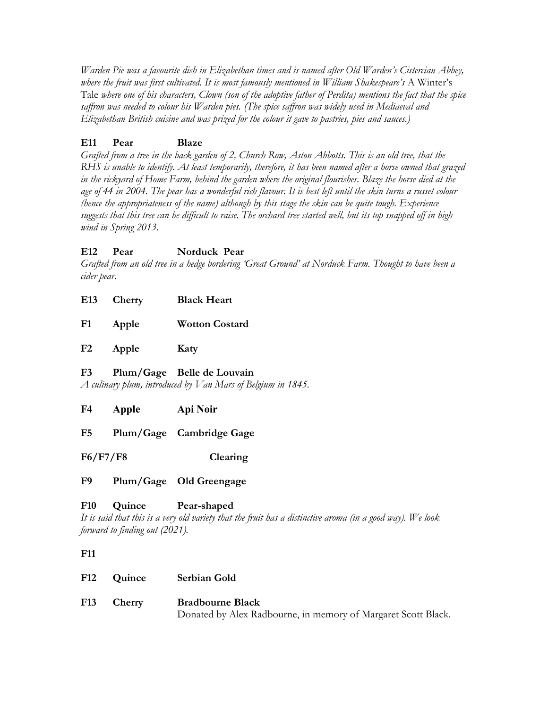*Warden Pie was a favourite dish in Elizabethan times and is named after Old Warden's Cistercian Abbey, where the fruit was first cultivated. It is most famously mentioned in William Shakespeare's* A Winter's Tale *where one of his characters, Clown (son of the adoptive father of Perdita) mentions the fact that the spice saffron was needed to colour his Warden pies. (The spice saffron was widely used in Mediaeval and Elizabethan British cuisine and was prized for the colour it gave to pastries, pies and sauces.)*

## **E11 Pear Blaze**

*Grafted from a tree in the back garden of 2, Church Row, Aston Abbotts. This is an old tree, that the RHS is unable to identify. At least temporarily, therefore, it has been named after a horse owned that grazed in the rickyard of Home Farm, behind the garden where the original flourishes. Blaze the horse died at the age of 44 in 2004. The pear has a wonderful rich flavour. It is best left until the skin turns a russet colour (hence the appropriateness of the name) although by this stage the skin can be quite tough. Experience suggests that this tree can be difficult to raise. The orchard tree started well, but its top snapped off in high wind in Spring 2013.*

## **E12 Pear Norduck Pear**

*Grafted from an old tree in a hedge bordering 'Great Ground' at Norduck Farm. Thought to have been a cider pear.*

- **E13 Cherry Black Heart**
- **F1 Apple Wotton Costard**

**F2 Apple Katy**

## **F3 Plum/Gage Belle de Louvain**

*A culinary plum, introduced by Van Mars of Belgium in 1845.*

- **F4 Apple Api Noir**
- **F5 Plum/Gage Cambridge Gage**

**F6/F7/F8 Clearing**

## **F9 Plum/Gage Old Greengage**

## **F10 Quince Pear-shaped**

*It is said that this is a very old variety that the fruit has a distinctive aroma (in a good way). We look forward to finding out (2021).*

## **F11**

| F12 Quince | Serbian Gold                                                  |
|------------|---------------------------------------------------------------|
| F13 Cherry | <b>Bradbourne Black</b>                                       |
|            | Donated by Alex Radbourne, in memory of Margaret Scott Black. |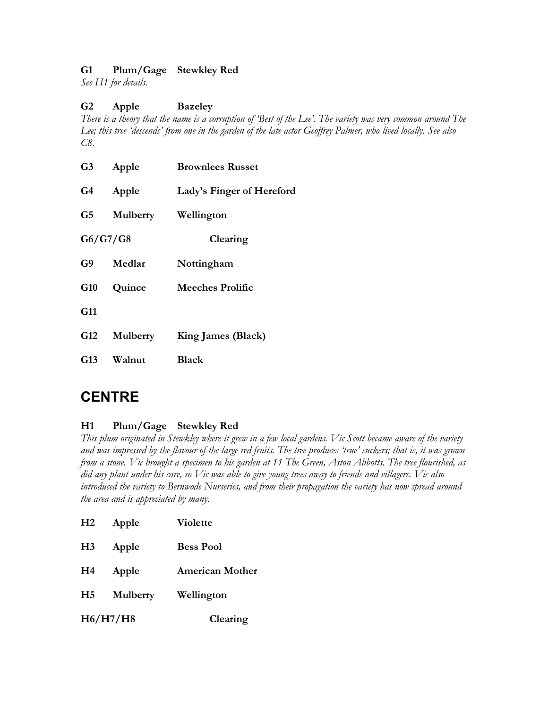## **G1 Plum/Gage Stewkley Red**

*See H1 for details.*

## **G2 Apple Bazeley**

*There is a theory that the name is a corruption of 'Best of the Lee'. The variety was very common around The Lee; this tree 'descends' from one in the garden of the late actor Geoffrey Palmer, who lived locally. See also C8.*

| G3         | Apple           | <b>Brownlees Russet</b>   |
|------------|-----------------|---------------------------|
| G4         | Apple           | Lady's Finger of Hereford |
| G5         |                 | Mulberry Wellington       |
|            | G6/G7/G8        | Clearing                  |
| G9         | Medlar          | Nottingham                |
|            | G10 Quince      | Meeches Prolific          |
| G11        |                 |                           |
| <b>G12</b> | <b>Mulberry</b> | King James (Black)        |
|            | G13 Walnut      | <b>Black</b>              |
|            |                 |                           |

# **CENTRE**

## **H1 Plum/Gage Stewkley Red**

*This plum originated in Stewkley where it grew in a few local gardens. Vic Scott became aware of the variety and was impressed by the flavour of the large red fruits. The tree produces 'true' suckers; that is, it was grown from a stone. Vic brought a specimen to his garden at 11 The Green, Aston Abbotts. The tree flourished, as did any plant under his care, so Vic was able to give young trees away to friends and villagers. Vic also introduced the variety to Bernwode Nurseries, and from their propagation the variety has now spread around the area and is appreciated by many.*

| H2       | Apple           | <b>Violette</b>        |
|----------|-----------------|------------------------|
| H3       | Apple           | <b>Bess Pool</b>       |
| H4       | Apple           | <b>American Mother</b> |
| H5       | <b>Mulberry</b> | Wellington             |
| H6/H7/H8 |                 | Clearing               |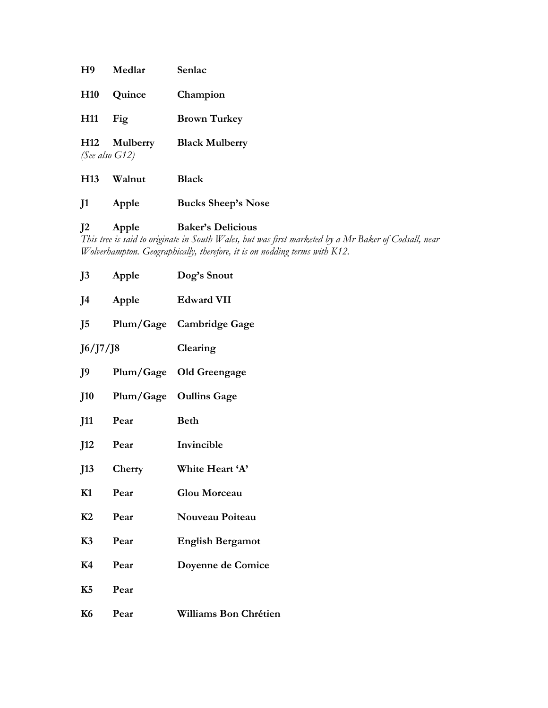| H9              | Medlar                                        | Senlac                    |
|-----------------|-----------------------------------------------|---------------------------|
| <b>H10</b>      | Quince                                        | Champion                  |
| H11             | Fig                                           | <b>Brown Turkey</b>       |
|                 | H <sub>12</sub> Mulberry<br>(See also $G12$ ) | <b>Black Mulberry</b>     |
| H <sub>13</sub> | Walnut                                        | <b>Black</b>              |
| $_{\rm J1}$     | Apple                                         | <b>Bucks Sheep's Nose</b> |

## **J2 Apple Baker's Delicious**

*This tree is said to originate in South Wales, but was first marketed by a Mr Baker of Codsall, near Wolverhampton. Geographically, therefore, it is on nodding terms with K12.*

| J <sub>3</sub> | Apple  | Dog's Snout              |
|----------------|--------|--------------------------|
| J4             | Apple  | <b>Edward VII</b>        |
| J5             |        | Plum/Gage Cambridge Gage |
| J6/J7/J8       |        | Clearing                 |
| J9             |        | Plum/Gage Old Greengage  |
| <b>J10</b>     |        | Plum/Gage Oullins Gage   |
| J11            | Pear   | <b>Beth</b>              |
| J12            | Pear   | Invincible               |
| J13            | Cherry | White Heart 'A'          |
| K1             | Pear   | Glou Morceau             |
| K2             | Pear   | Nouveau Poiteau          |
| K3             | Pear   | <b>English Bergamot</b>  |
| K4             | Pear   | Doyenne de Comice        |
| K5             | Pear   |                          |
| <b>K6</b>      | Pear   | Williams Bon Chrétien    |
|                |        |                          |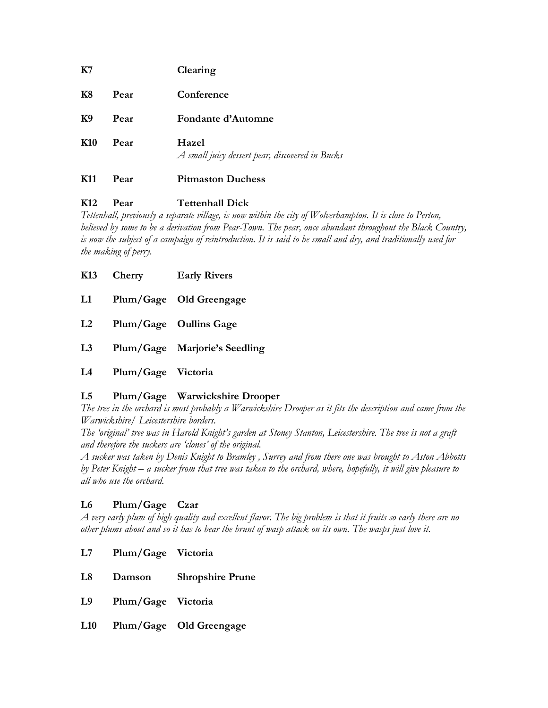| K11             | Pear | <b>Pitmaston Duchess</b>                                 |
|-----------------|------|----------------------------------------------------------|
| K <sub>10</sub> | Pear | Hazel<br>A small juicy dessert pear, discovered in Bucks |
| K <sub>9</sub>  | Pear | Fondante d'Automne                                       |
| <b>K8</b>       | Pear | Conference                                               |
| K7              |      | Clearing                                                 |

## **K12 Pear Tettenhall Dick**

*Tettenhall, previously a separate village, is now within the city of Wolverhampton. It is close to Perton, believed by some to be a derivation from Pear-Town. The pear, once abundant throughout the Black Country, is now the subject of a campaign of reintroduction. It is said to be small and dry, and traditionally used for the making of perry.*

|    | K13 Cherry         | <b>Early Rivers</b>           |
|----|--------------------|-------------------------------|
| L1 |                    | Plum/Gage Old Greengage       |
| L2 |                    | Plum/Gage Oullins Gage        |
| L3 |                    | Plum/Gage Marjorie's Seedling |
| L4 | Plum/Gage Victoria |                               |

## **L5 Plum/Gage Warwickshire Drooper**

*The tree in the orchard is most probably a Warwickshire Drooper as it fits the description and came from the Warwickshire/ Leicestershire borders.*

*The 'original' tree was in Harold Knight's garden at Stoney Stanton, Leicestershire. The tree is not a graft and therefore the suckers are 'clones' of the original.*

*A sucker was taken by Denis Knight to Bramley , Surrey and from there one was brought to Aston Abbotts by Peter Knight – a sucker from that tree was taken to the orchard, where, hopefully, it will give pleasure to all who use the orchard.*

## **L6 Plum/Gage Czar**

*A very early plum of high quality and excellent flavor. The big problem is that it fruits so early there are no other plums about and so it has to bear the brunt of wasp attack on its own. The wasps just love it.*

- **L7 Plum/Gage Victoria**
- **L8 Damson Shropshire Prune**
- **L9 Plum/Gage Victoria**
- **L10 Plum/Gage Old Greengage**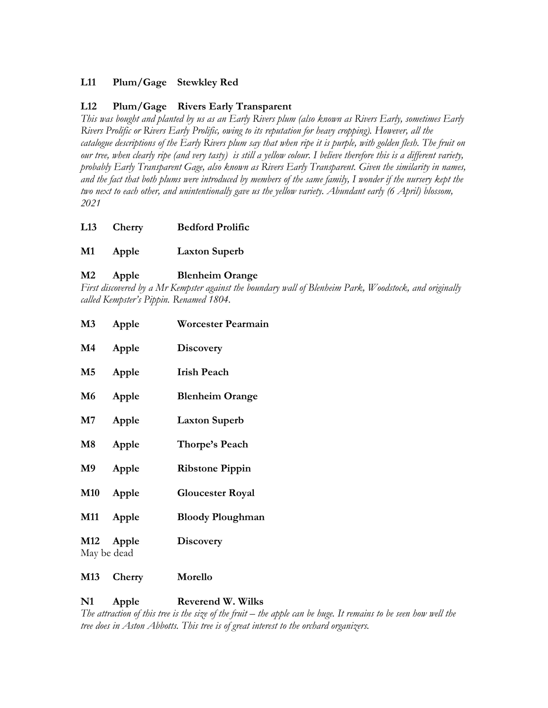## **L11 Plum/Gage Stewkley Red**

#### **L12 Plum/Gage Rivers Early Transparent**

*This was bought and planted by us as an Early Rivers plum (also known as Rivers Early, sometimes Early Rivers Prolific or Rivers Early Prolific, owing to its reputation for heavy cropping). However, all the catalogue descriptions of the Early Rivers plum say that when ripe it is purple, with golden flesh. The fruit on our tree, when clearly ripe (and very tasty) is still a yellow colour. I believe therefore this is a different variety, probably Early Transparent Gage, also known as Rivers Early Transparent. Given the similarity in names, and the fact that both plums were introduced by members of the same family, I wonder if the nursery kept the two next to each other, and unintentionally gave us the yellow variety. Abundant early (6 April) blossom, 2021*

|    | L <sub>13</sub> Cherry | <b>Bedford Prolific</b> |
|----|------------------------|-------------------------|
| M1 | Apple                  | <b>Laxton Superb</b>    |

#### **M2 Apple Blenheim Orange**

*First discovered by a Mr Kempster against the boundary wall of Blenheim Park, Woodstock, and originally called Kempster's Pippin. Renamed 1804.*

| M3            | Apple     | <b>Worcester Pearmain</b> |
|---------------|-----------|---------------------------|
| $\mathbf{M}4$ | Apple     | <b>Discovery</b>          |
| $\mathbf{M}5$ | Apple     | <b>Irish Peach</b>        |
| <b>M6</b>     | Apple     | <b>Blenheim Orange</b>    |
| M7            | Apple     | <b>Laxton Superb</b>      |
| $\mathbf{M8}$ | Apple     | Thorpe's Peach            |
| <b>M9</b>     | Apple     | <b>Ribstone Pippin</b>    |
| <b>M10</b>    | Apple     | <b>Gloucester Royal</b>   |
| <b>M11</b>    | Apple     | <b>Bloody Ploughman</b>   |
| May be dead   | M12 Apple | <b>Discovery</b>          |
|               |           |                           |

#### **M13 Cherry Morello**

#### **N1 Apple Reverend W. Wilks**

*The attraction of this tree is the size of the fruit – the apple can be huge. It remains to be seen how well the tree does in Aston Abbotts. This tree is of great interest to the orchard organizers.*